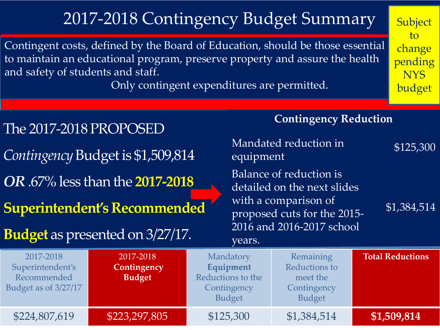## 2017-2018 Contingency Budget Summary

Contingent costs, defined by the Board of Education, should be those essential to maintain an educational program, preserve property and assure the health and safety of students and staff.

Only contingent expenditures are permitted.

**Subject** to change pending **NYS** budget

| The 2017-2018 PROPOSED<br>Contingency Budget is \$1,509,814          |                                                                                                                  | <b>Contingency Reduction</b><br>Mandated reduction in<br>\$125,300<br>equipment |                                                                                                                                                           |                         |
|----------------------------------------------------------------------|------------------------------------------------------------------------------------------------------------------|---------------------------------------------------------------------------------|-----------------------------------------------------------------------------------------------------------------------------------------------------------|-------------------------|
|                                                                      | OR .67% less than the 2017-2018<br><b>Superintendent's Recommended</b><br><b>Budget</b> as presented on 3/27/17. | years.                                                                          | Balance of reduction is<br>detailed on the next slides<br>with a comparison of<br>\$1,384,514<br>proposed cuts for the 2015-<br>2016 and 2016-2017 school |                         |
| 2017-2018<br>Superintendent's<br>Recommended<br>Budget as of 3/27/17 | 2017-2018<br>Contingency<br><b>Budget</b>                                                                        | Mandatory<br>Equipment<br>Reductions to the<br>Contingency<br><b>Budget</b>     | Remaining<br>Reductions to<br>meet the<br>Contingency<br><b>Budget</b>                                                                                    | <b>Total Reductions</b> |
| \$224,807,619                                                        | \$223,297,805                                                                                                    | \$125,300                                                                       | \$1,384,514                                                                                                                                               | \$1,509,814             |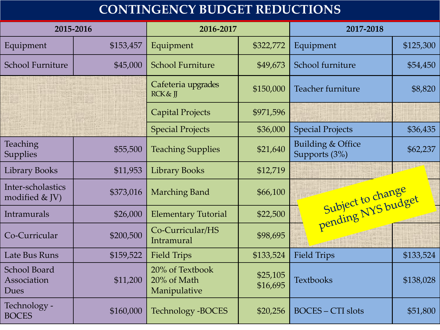## **CONTINGENCY BUDGET REDUCTIONS**

| 2015-2016                                  |           | 2016-2017                                      |                      | 2017-2018                          |           |
|--------------------------------------------|-----------|------------------------------------------------|----------------------|------------------------------------|-----------|
| Equipment                                  | \$153,457 | Equipment                                      | \$322,772            | Equipment                          | \$125,300 |
| <b>School Furniture</b>                    | \$45,000  | <b>School Furniture</b>                        | \$49,673             | School furniture                   | \$54,450  |
|                                            |           | Cafeteria upgrades<br><b>RCK &amp; ∏</b>       | \$150,000            | Teacher furniture                  | \$8,820   |
|                                            |           | <b>Capital Projects</b>                        | \$971,596            |                                    |           |
|                                            |           | <b>Special Projects</b>                        | \$36,000             | <b>Special Projects</b>            | \$36,435  |
| Teaching<br><b>Supplies</b>                | \$55,500  | <b>Teaching Supplies</b>                       | \$21,640             | Building & Office<br>Supports (3%) | \$62,237  |
| <b>Library Books</b>                       | \$11,953  | <b>Library Books</b>                           | \$12,719             |                                    |           |
| Inter-scholastics<br>modified & JV)        | \$373,016 | <b>Marching Band</b>                           | \$66,100             | Subject to change                  |           |
| Intramurals                                | \$26,000  | <b>Elementary Tutorial</b>                     | \$22,500             |                                    |           |
| Co-Curricular                              | \$200,500 | Co-Curricular/HS<br>Intramural                 | \$98,695             |                                    |           |
| Late Bus Runs                              | \$159,522 | <b>Field Trips</b>                             | \$133,524            | <b>Field Trips</b>                 | \$133,524 |
| <b>School Board</b><br>Association<br>Dues | \$11,200  | 20% of Textbook<br>20% of Math<br>Manipulative | \$25,105<br>\$16,695 | <b>Textbooks</b>                   | \$138,028 |
| Technology -<br><b>BOCES</b>               | \$160,000 | <b>Technology -BOCES</b>                       | \$20,256             | <b>BOCES - CTI slots</b>           | \$51,800  |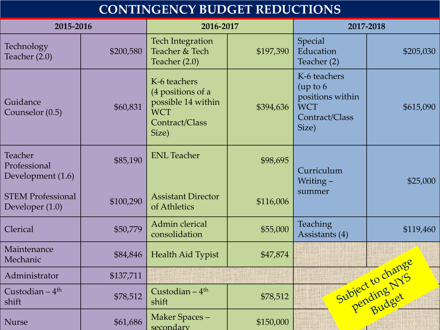## **CONTINGENCY BUDGET REDUCTIONS**

| 2015-2016                                    |           | 2016-2017                                                                                        |           | 2017-2018                                                                             |                   |
|----------------------------------------------|-----------|--------------------------------------------------------------------------------------------------|-----------|---------------------------------------------------------------------------------------|-------------------|
| Technology<br>Teacher (2.0)                  | \$200,580 | <b>Tech Integration</b><br>Teacher & Tech<br>Teacher $(2.0)$                                     | \$197,390 | Special<br>Education<br>Teacher (2)                                                   | \$205,030         |
| Guidance<br>Counselor (0.5)                  | \$60,831  | K-6 teachers<br>(4 positions of a<br>possible 14 within<br><b>WCT</b><br>Contract/Class<br>Size) | \$394,636 | K-6 teachers<br>(up to 6<br>positions within<br><b>WCT</b><br>Contract/Class<br>Size) | \$615,090         |
| Teacher<br>Professional<br>Development (1.6) | \$85,190  | <b>ENL Teacher</b>                                                                               | \$98,695  | Curriculum<br>Writing-                                                                | \$25,000          |
| <b>STEM Professional</b><br>Developer (1.0)  | \$100,290 | <b>Assistant Director</b><br>of Athletics                                                        | \$116,006 | summer                                                                                |                   |
| Clerical                                     | \$50,779  | Admin clerical<br>consolidation                                                                  | \$55,000  | <b>Teaching</b><br>Assistants (4)                                                     | \$119,460         |
| Maintenance<br>Mechanic                      | \$84,846  | Health Aid Typist                                                                                | \$47,874  |                                                                                       |                   |
| Administrator                                | \$137,711 |                                                                                                  |           |                                                                                       |                   |
| Custodian $-4$ <sup>th</sup><br>shift        | \$78,512  | Custodian $-4$ <sup>th</sup><br>shift                                                            | \$78,512  |                                                                                       | Subject to change |
| <b>Nurse</b>                                 | \$61,686  | Maker Spaces-<br>secondary                                                                       | \$150,000 |                                                                                       |                   |